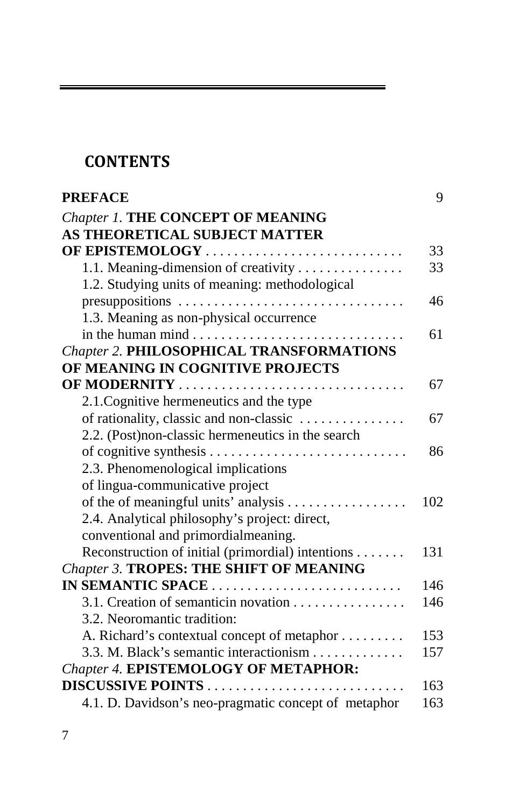## **CONTENTS**

| <b>PREFACE</b>                                       | 9   |
|------------------------------------------------------|-----|
| <b>Chapter 1. THE CONCEPT OF MEANING</b>             |     |
| AS THEORETICAL SUBJECT MATTER                        |     |
| OF EPISTEMOLOGY                                      | 33  |
| 1.1. Meaning-dimension of creativity                 | 33  |
| 1.2. Studying units of meaning: methodological       |     |
| presuppositions                                      | 46  |
| 1.3. Meaning as non-physical occurrence              |     |
|                                                      | 61  |
| <b>Chapter 2. PHILOSOPHICAL TRANSFORMATIONS</b>      |     |
| OF MEANING IN COGNITIVE PROJECTS                     |     |
| OF MODERNITY                                         | 67  |
| 2.1. Cognitive hermeneutics and the type             |     |
| of rationality, classic and non-classic              | 67  |
| 2.2. (Post)non-classic hermeneutics in the search    |     |
|                                                      | 86  |
| 2.3. Phenomenological implications                   |     |
| of lingua-communicative project                      |     |
|                                                      | 102 |
| 2.4. Analytical philosophy's project: direct,        |     |
| conventional and primordialmeaning.                  |     |
| Reconstruction of initial (primordial) intentions    | 131 |
| Chapter 3. TROPES: THE SHIFT OF MEANING              |     |
| IN SEMANTIC SPACE                                    | 146 |
| 3.1. Creation of semanticin novation                 | 146 |
| 3.2. Neoromantic tradition:                          |     |
| A. Richard's contextual concept of metaphor          | 153 |
| 3.3. M. Black's semantic interactionism              | 157 |
| <b>Chapter 4. EPISTEMOLOGY OF METAPHOR:</b>          |     |
|                                                      | 163 |
| 4.1. D. Davidson's neo-pragmatic concept of metaphor | 163 |